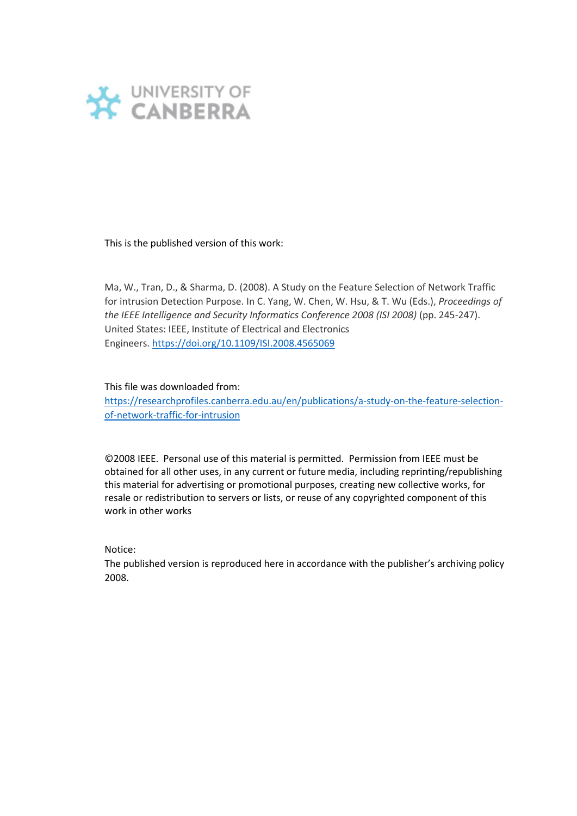

This is the published version of this work:

Ma, W., Tran, D., & Sharma, D. (2008). A Study on the Feature Selection of Network Traffic for intrusion Detection Purpose. In C. Yang, W. Chen, W. Hsu, & T. Wu (Eds.), *Proceedings of the IEEE Intelligence and Security Informatics Conference 2008 (ISI 2008)* (pp. 245-247). United States: IEEE, Institute of Electrical and Electronics Engineers. <https://doi.org/10.1109/ISI.2008.4565069>

This file was downloaded from:

[https://researchprofiles.canberra.edu.au/en/publications/a-study-on-the-feature-selection](https://researchprofiles.canberra.edu.au/en/publications/a-study-on-the-feature-selection-of-network-traffic-for-intrusion)[of-network-traffic-for-intrusion](https://researchprofiles.canberra.edu.au/en/publications/a-study-on-the-feature-selection-of-network-traffic-for-intrusion)

©2008 IEEE. Personal use of this material is permitted. Permission from IEEE must be obtained for all other uses, in any current or future media, including reprinting/republishing this material for advertising or promotional purposes, creating new collective works, for resale or redistribution to servers or lists, or reuse of any copyrighted component of this work in other works

Notice:

The published version is reproduced here in accordance with the publisher's archiving policy 2008.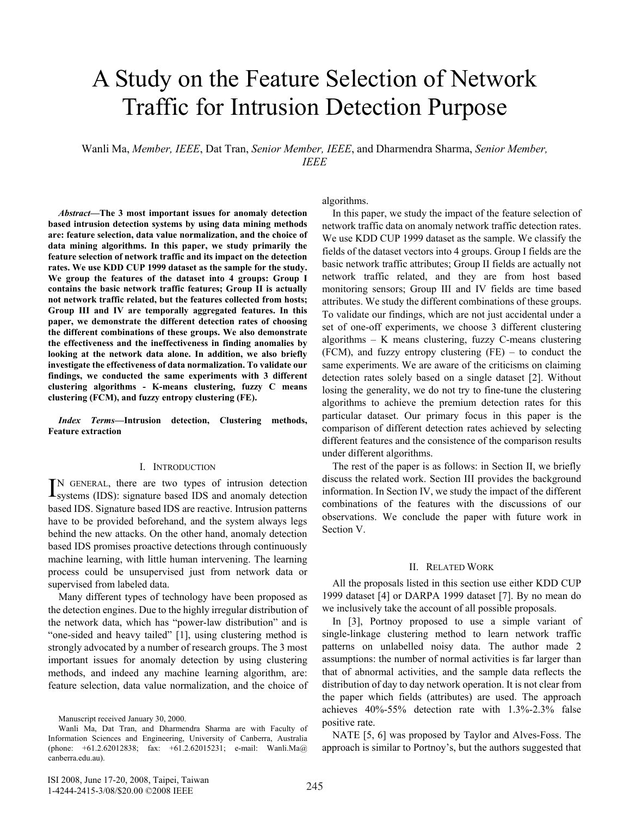# A Study on the Feature Selection of Network Traffic for Intrusion Detection Purpose on the Feature Selection of A Case of the Peace of Coronal of Activities

Wanli Ma, Member, IEEE, Dat Tran, Senior Member, IEEE, and Dharmendra Sharma, Senior Member, *IEEE* **advocate vigorous or intentional actions to bring about social or**   $\mathcal{L}$ 

*Abstract*—The 3 most important issues for anomaly detection based intrusion detection systems by using data mining methods are: feature selection, data value normalization, and the choice of data mining algorithms. In this paper, we study primarily the feature selection of network traffic and its impact on the detection rates. We use KDD CUP 1999 dataset as the sample for the study. We group the features of the dataset into 4 groups: Group I contains the basic network traffic features; Group II is actually not network traffic related, but the features collected from hosts; Group III and IV are temporally aggregated features. In this paper, we demonstrate the different detection rates of choosing the different combinations of these groups. We also demonstrate the effectiveness and the ineffectiveness in finding anomalies by looking at the network data alone. In addition, we also briefly investigate the effectiveness of data normalization. To validate our findings, we conducted the same experiments with 3 different clustering algorithms - K-means clustering, fuzzy C means clustering (FCM), and fuzzy entropy clustering (FE). **interactions and the social structure of the social structure communities.** 

*Index Terms***—Intrusion detection, Clustering methods, Feature extraction** *Index Terms* **<b>***Index Terms in the Tibet, Seature extraction* 

#### I. INTRODUCTION

N GENERAL, there are two types of intrusion detection IN GENERAL, there are two types of intrusion detection<br>systems (IDS): signature based IDS and anomaly detection based IDS. Signature based IDS are reactive. Intrusion patterns based IDS. rapid of the Internet makes it and the Internet makes it purchase it and the Internet makes it and it also the Internet makes it and the Internet makes it and the System always legs behind the new attacks. On the other hand, anomaly detection based IDS promises proactive detections through continuously machine learning, with little human intervening. The learning machine process could be unsupervised just from network data or supervised from labeled data. **EXECUTE:** IN GENERAL, there are two types or influsion detection<br>based IDS. Signature based IDS are reactive. Intrusion patterns based IDS.

Many different types of technology have been proposed as the detection engines. Due to the highly irregular distribution of  $\frac{1}{\sqrt{2\pi}}$ the network data, which has "power-law distribution" and is "one-sided and heavy tailed" [1], using clustering method is strongly advocated by a number of research groups. The 3 most important issues for anomaly detection by using clustering important issues for anomaly detection by using clustering methods, and indeed any machine learning algorithm, are: methods, and method any method canning eigenfant, are:<br>feature selection, data value normalization, and the choice of  $\ldots$  and  $\ldots$  and  $\ldots$  the identificative method to identify  $\ldots$ 

algorithms. and analyzed. We aim to shed light on the following research

In this paper, we study the impact of the feature selection of network traffic data on anomaly network traffic detection rates.<br>We will consider the contract of the contract of the contract of the contract of the contract of the contract of the contract of the contract of the contract We use KDD CUP 1999 dataset as the sample. We classify the We use KDD COT 1999 dataset as the sample. We classify the fields of the dataset vectors into 4 groups. Group I fields are the basic network traffic attributes; Group II fields are actually not network traffic related, and they are from host based monitoring sensors; Group III and IV fields are time based attributes. We study the different combinations of these groups. To validate our findings, which are not just accidental under a set of one-off experiments, we choose 3 different clustering algorithms – K means clustering, fuzzy C-means clustering  $\widetilde{\text{FCM}}$ ), and fuzzy entropy clustering (FE) – to conduct the same experiments. We are aware of the criticisms on claiming detection rates solely based on a single dataset [2]. Without losing the generality, we do not try to fine-tune the clustering algorithms to achieve the premium detection rates for this particular dataset. Our primary focus in this paper is the comparison of different detection rates achieved by selecting different features and the consistence of the comparison results under different algorithms.  $\frac{1}{2}$  is calculated to  $\frac{1}{2}$  and  $\frac{1}{2}$  and  $\frac{1}{2}$  and  $\frac{1}{2}$  and  $\frac{1}{2}$  and  $\frac{1}{2}$  and  $\frac{1}{2}$  and  $\frac{1}{2}$  and  $\frac{1}{2}$  and  $\frac{1}{2}$  and  $\frac{1}{2}$  and  $\frac{1}{2}$  and  $\frac{1}{2}$  and  $\frac{1}{2}$  an

The rest of the paper is as follows: in Section II, we briefly discuss the related work. Section III provides the background information. In Section IV, we study the impact of the different combinations of the features with the discussions of our observations. We conclude the paper with future work in Section V.

## II. RELATED WORK

All the proposals listed in this section use either KDD CUP 1999 dataset  $[4]$  or DARPA 1999 dataset  $[7]$ . By no mean do we inclusively take the account of all possible proposals.

In  $[3]$ , Portnoy proposed to use a simple variant of  $single-linkage$  clustering method to learn network traffic patterns on unlabelled noisy data. The author made 2 assumptions: the number of normal activities is far larger than that of abnormal activities, and the sample data reflects the distribution of day to day network operation. It is not clear from the paper which fields (attributes) are used. The approach achieves 40%-55% detection rate with 1.3%-2.3% false positive rate.

NATE [5, 6] was proposed by Taylor and Alves-Foss. The approach is similar to Portnoy's, but the authors suggested that

Manuscript received January 30, 2000.

Wanli Ma, Dat Tran, and Dharmendra Sharma are with Faculty of Information Sciences and Engineering, University of Canberra, Australia momation sciences and Engineering, University of Canocria, Australia<br>(phone:  $+61.2.62012838$ ; fax:  $+61.2.62015231$ ; e-mail: Wanli.Ma@ canberra.edu.au).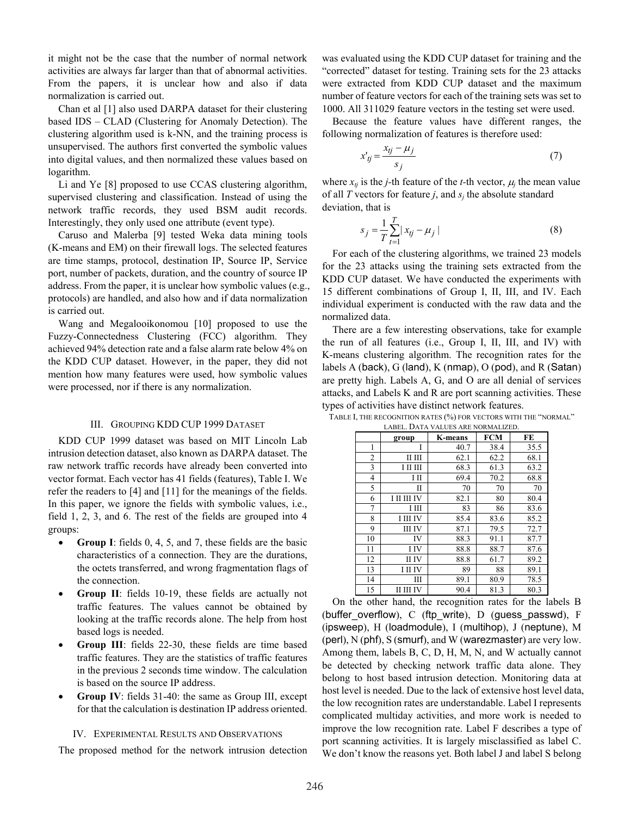it might not be the case that the number of normal network activities are always far larger than that of abnormal activities. From the papers, it is unclear how and also if data normalization is carried out.

Chan et al [1] also used DARPA dataset for their clustering based IDS – CLAD (Clustering for Anomaly Detection). The clustering algorithm used is k-NN, and the training process is unsupervised. The authors first converted the symbolic values into digital values, and then normalized these values based on logarithm.

Li and Ye [8] proposed to use CCAS clustering algorithm, supervised clustering and classification. Instead of using the network traffic records, they used BSM audit records. Interestingly, they only used one attribute (event type).

Caruso and Malerba [9] tested Weka data mining tools (K-means and EM) on their firewall logs. The selected features are time stamps, protocol, destination IP, Source IP, Service port, number of packets, duration, and the country of source IP address. From the paper, it is unclear how symbolic values (e.g., protocols) are handled, and also how and if data normalization is carried out.

Wang and Megalooikonomou [10] proposed to use the Fuzzy-Connectedness Clustering (FCC) algorithm. They achieved 94% detection rate and a false alarm rate below 4% on the KDD CUP dataset. However, in the paper, they did not mention how many features were used, how symbolic values were processed, nor if there is any normalization.

#### III. GROUPING KDD CUP 1999 DATASET

KDD CUP 1999 dataset was based on MIT Lincoln Lab intrusion detection dataset, also known as DARPA dataset. The raw network traffic records have already been converted into vector format. Each vector has 41 fields (features), Table I. We refer the readers to [4] and [11] for the meanings of the fields. In this paper, we ignore the fields with symbolic values, i.e., field 1, 2, 3, and 6. The rest of the fields are grouped into 4 groups:

- **Group I**: fields 0, 4, 5, and 7, these fields are the basic characteristics of a connection. They are the durations, the octets transferred, and wrong fragmentation flags of the connection.
- Group II: fields 10-19, these fields are actually not traffic features. The values cannot be obtained by looking at the traffic records alone. The help from host based logs is needed.
- **Group III**: fields 22-30, these fields are time based traffic features. They are the statistics of traffic features in the previous 2 seconds time window. The calculation is based on the source IP address.
- **Group IV**: fields 31-40: the same as Group III, except for that the calculation is destination IP address oriented.

### IV. EXPERIMENTAL RESULTS AND OBSERVATIONS

The proposed method for the network intrusion detection

was evaluated using the KDD CUP dataset for training and the "corrected" dataset for testing. Training sets for the 23 attacks were extracted from KDD CUP dataset and the maximum number of feature vectors for each of the training sets was set to 1000. All 311029 feature vectors in the testing set were used.

Because the feature values have different ranges, the following normalization of features is therefore used:

$$
x'_{ij} = \frac{x_{ij} - \mu_j}{s_j} \tag{7}
$$

where  $x_{ti}$  is the *j*-th feature of the *t*-th vector,  $\mu_i$  the mean value of all  $T$  vectors for feature  $j$ , and  $s_j$  the absolute standard deviation, that is

$$
s_j = \frac{1}{T} \sum_{t=1}^{T} |x_{tj} - \mu_j|
$$
 (8)

For each of the clustering algorithms, we trained 23 models for the 23 attacks using the training sets extracted from the KDD CUP dataset. We have conducted the experiments with 15 different combinations of Group I, II, III, and IV. Each individual experiment is conducted with the raw data and the normalized data.

There are a few interesting observations, take for example the run of all features (i.e., Group I, II, III, and IV) with K-means clustering algorithm. The recognition rates for the labels A (back),  $G$  (land),  $K$  (nmap),  $O$  (pod), and  $R$  (Satan) are pretty high. Labels A, G, and O are all denial of services attacks, and Labels K and R are port scanning activities. These types of activities have distinct network features.

| LABEL. DATA VALUES ARE NORMALIZED. |                 |                |            |      |  |  |
|------------------------------------|-----------------|----------------|------------|------|--|--|
|                                    | group           | <b>K-means</b> | <b>FCM</b> | FE   |  |  |
| 1                                  | I               | 40.7           | 38.4       | 35.5 |  |  |
| $\overline{2}$                     | ІІ ІІІ          | 62.1           | 62.2       | 68.1 |  |  |
| 3                                  | І ІІ ІІІ        | 68.3           | 61.3       | 63.2 |  |  |
| 4                                  | ΙП              | 69.4           | 70.2       | 68.8 |  |  |
| 5                                  | П               | 70             | 70         | 70   |  |  |
| 6                                  | I II III IV     | 82.1           | 80         | 80.4 |  |  |
| 7                                  | ΙШ              | 83             | 86         | 83.6 |  |  |
| 8                                  | <b>I III IV</b> | 85.4           | 83.6       | 85.2 |  |  |
| 9                                  | III IV          | 87.1           | 79.5       | 72.7 |  |  |
| 10                                 | IV              | 88.3           | 91.1       | 87.7 |  |  |
| 11                                 | I IV            | 88.8           | 88.7       | 87.6 |  |  |
| 12                                 | II IV           | 88.8           | 61.7       | 89.2 |  |  |
| 13                                 | <b>I</b> II IV  | 89             | 88         | 89.1 |  |  |
| 14                                 | Ш               | 89.1           | 80.9       | 78.5 |  |  |
| 15                                 | II III IV       | 90.4           | 81.3       | 80.3 |  |  |

TABLE I, THE RECOGNITION RATES (%) FOR VECTORS WITH THE "NORMAL"

On the other hand, the recognition rates for the labels B (buffer\_overflow), C (ftp\_write), D (guess\_passwd), F (ipsweep), H (loadmodule), I (multihop), J (neptune), M (perl), N (phf), S (smurf), and W (warezmaster) are very low. Among them, labels B, C, D, H, M, N, and W actually cannot be detected by checking network traffic data alone. They belong to host based intrusion detection. Monitoring data at host level is needed. Due to the lack of extensive host level data, the low recognition rates are understandable. Label I represents complicated multiday activities, and more work is needed to improve the low recognition rate. Label F describes a type of port scanning activities. It is largely misclassified as label C. We don't know the reasons yet. Both label J and label S belong